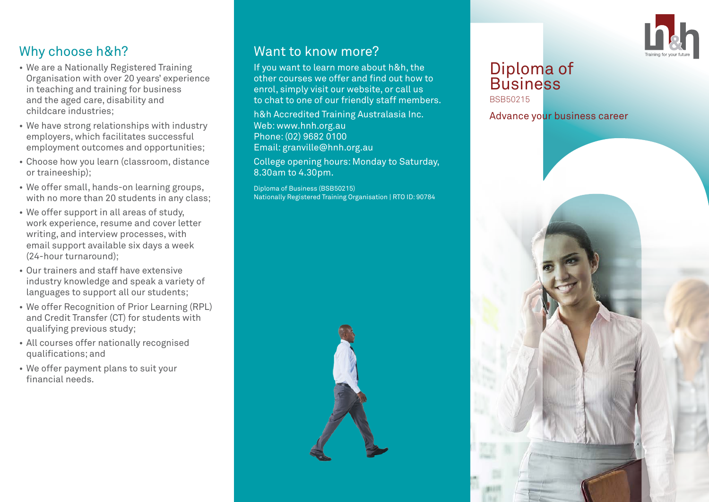

# Why choose h&h?

- We are a Nationally Registered Training Organisation with over 20 years' experience in teaching and training for business and the aged care, disability and childcare industries;
- We have strong relationships with industry employers, which facilitates successful employment outcomes and opportunities;
- Choose how you learn (classroom, distance or traineeship);
- We offer small, hands-on learning groups, with no more than 20 students in any class:
- We offer support in all areas of study, work experience, resume and cover letter writing, and interview processes, with email support available six days a week (24-hour turnaround);
- Our trainers and staff have extensive industry knowledge and speak a variety of languages to support all our students;
- We offer Recognition of Prior Learning (RPL) and Credit Transfer (CT) for students with qualifying previous study;
- All courses offer nationally recognised qualifications; and
- We offer payment plans to suit your financial needs.

### Want to know more?

If you want to learn more about h&h, the other courses we offer and find out how to enrol, simply visit our website, or call us to chat to one of our friendly staff members.

h&h Accredited Training Australasia Inc. Web: www.hnh.org.au Phone: (02) 9682 0100 Email: granville@hnh.org.au

College opening hours: Monday to Saturday, 8.30am to 4.30pm.

Diploma of Business (BSB50215) Nationally Registered Training Organisation | RTO ID: 90784

#### Diploma of **Business** BSB50215